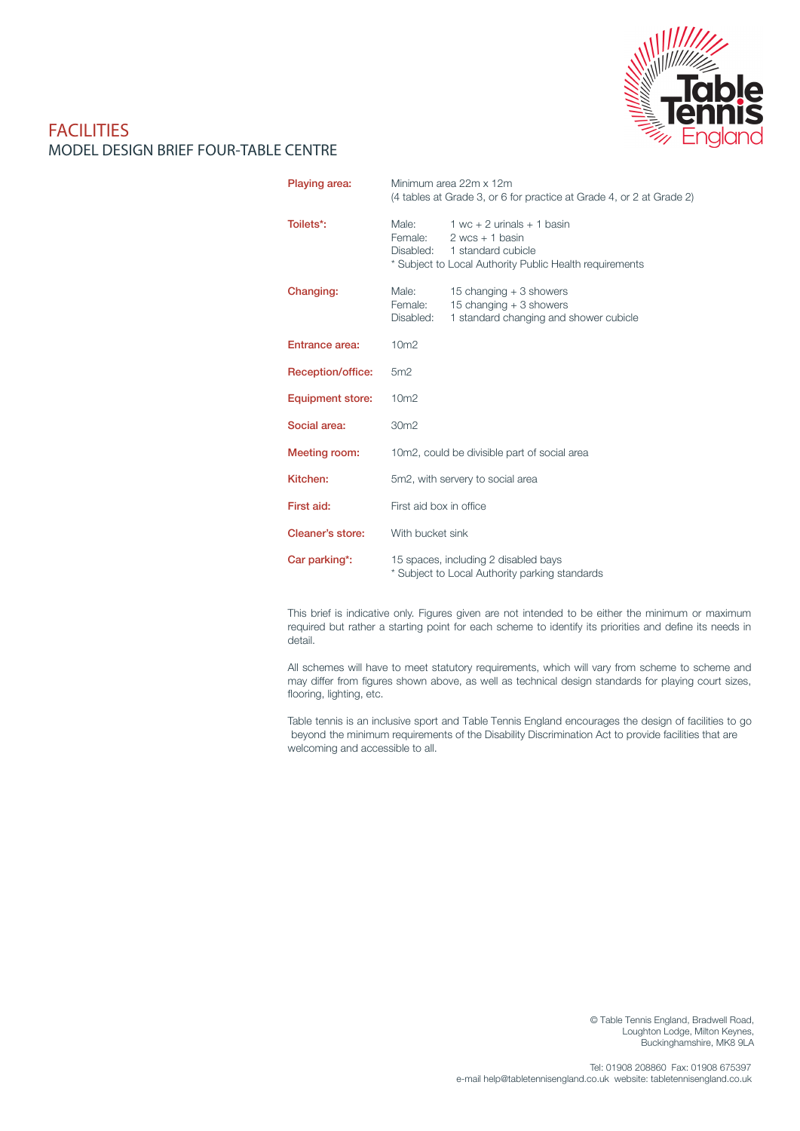

## **FACILITIES** MODEL DESIGN BRIEF FOUR-TABLE CENTRE

| Playing area:           | Minimum area 22m x 12m<br>(4 tables at Grade 3, or 6 for practice at Grade 4, or 2 at Grade 2) |                                                                                                                                    |  |
|-------------------------|------------------------------------------------------------------------------------------------|------------------------------------------------------------------------------------------------------------------------------------|--|
| Toilets*:               | Male:<br>Female:<br>Disabled:                                                                  | $1$ wc + 2 urinals + 1 basin<br>$2$ wcs + 1 basin<br>1 standard cubicle<br>* Subject to Local Authority Public Health requirements |  |
| Changing:               | Male:<br>Female:<br>Disabled:                                                                  | 15 changing $+3$ showers<br>15 changing $+3$ showers<br>1 standard changing and shower cubicle                                     |  |
| Entrance area:          | 10 <sub>m2</sub>                                                                               |                                                                                                                                    |  |
| Reception/office:       | 5m2                                                                                            |                                                                                                                                    |  |
| <b>Equipment store:</b> | 10 <sub>m2</sub>                                                                               |                                                                                                                                    |  |
| Social area:            | 30 <sub>m2</sub>                                                                               |                                                                                                                                    |  |
| Meeting room:           | 10m2, could be divisible part of social area                                                   |                                                                                                                                    |  |
| Kitchen:                | 5m2, with servery to social area                                                               |                                                                                                                                    |  |
| First aid:              | First aid box in office                                                                        |                                                                                                                                    |  |
| Cleaner's store:        | With bucket sink                                                                               |                                                                                                                                    |  |
| Car parking*:           | 15 spaces, including 2 disabled bays<br>* Subject to Local Authority parking standards         |                                                                                                                                    |  |

This brief is indicative only. Figures given are not intended to be either the minimum or maximum required but rather a starting point for each scheme to identify its priorities and define its needs in detail.

All schemes will have to meet statutory requirements, which will vary from scheme to scheme and may differ from figures shown above, as well as technical design standards for playing court sizes, flooring, lighting, etc.

Table tennis is an inclusive sport and Table Tennis England encourages the design of facilities to go beyond the minimum requirements of the Disability Discrimination Act to provide facilities that are welcoming and accessible to all.

> © Table Tennis England, Bradwell Road, Loughton Lodge, Milton Keynes, Buckinghamshire, MK8 9LA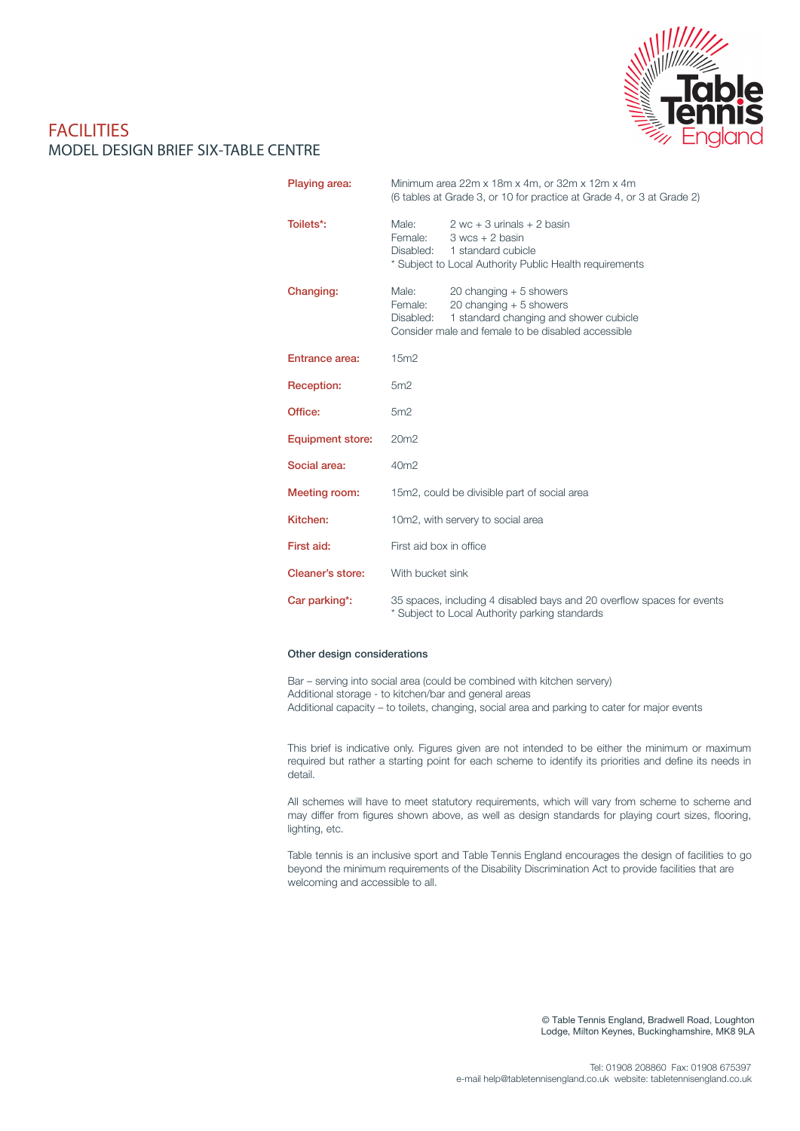

## **FACILITIES** MODEL DESIGN BRIEF SIX-TABLE CENTRE

| Playing area:           | Minimum area 22m x 18m x 4m, or 32m x 12m x 4m<br>(6 tables at Grade 3, or 10 for practice at Grade 4, or 3 at Grade 2)                                                               |  |  |
|-------------------------|---------------------------------------------------------------------------------------------------------------------------------------------------------------------------------------|--|--|
| Toilets*:               | Male:<br>$2$ wc + 3 urinals + 2 basin<br>Female:<br>$3$ wcs $+2$ basin<br>Disabled:<br>1 standard cubicle<br>* Subject to Local Authority Public Health requirements                  |  |  |
| Changing:               | Male:<br>20 changing $+5$ showers<br>Female:<br>20 changing $+5$ showers<br>1 standard changing and shower cubicle<br>Disabled:<br>Consider male and female to be disabled accessible |  |  |
| <b>Entrance area:</b>   | 15m2                                                                                                                                                                                  |  |  |
| Reception:              | 5m2                                                                                                                                                                                   |  |  |
| Office:                 | 5m2                                                                                                                                                                                   |  |  |
| <b>Equipment store:</b> | 20m2                                                                                                                                                                                  |  |  |
| Social area:            | 40m <sub>2</sub>                                                                                                                                                                      |  |  |
| Meeting room:           | 15m2, could be divisible part of social area                                                                                                                                          |  |  |
| Kitchen:                | 10m2, with servery to social area                                                                                                                                                     |  |  |
| First aid:              | First aid box in office                                                                                                                                                               |  |  |
| Cleaner's store:        | With bucket sink                                                                                                                                                                      |  |  |
| Car parking*:           | 35 spaces, including 4 disabled bays and 20 overflow spaces for events<br>* Subject to Local Authority parking standards                                                              |  |  |

### Other design considerations

Bar – serving into social area (could be combined with kitchen servery) Additional storage - to kitchen/bar and general areas Additional capacity – to toilets, changing, social area and parking to cater for major events

This brief is indicative only. Figures given are not intended to be either the minimum or maximum required but rather a starting point for each scheme to identify its priorities and define its needs in detail.

All schemes will have to meet statutory requirements, which will vary from scheme to scheme and may differ from figures shown above, as well as design standards for playing court sizes, flooring, lighting, etc.

Table tennis is an inclusive sport and Table Tennis England encourages the design of facilities to go beyond the minimum requirements of the Disability Discrimination Act to provide facilities that are welcoming and accessible to all.

> © Table Tennis England, Bradwell Road, Loughton Lodge, Milton Keynes, Buckinghamshire, MK8 9LA